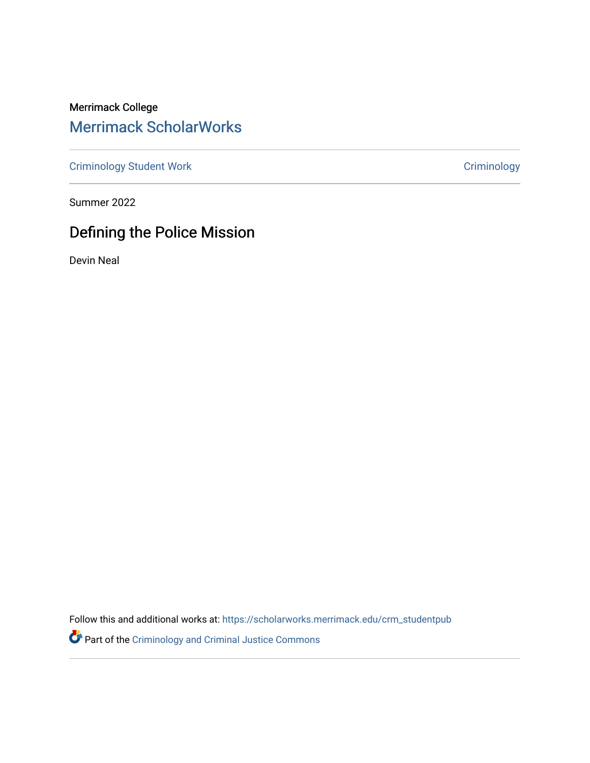Merrimack College [Merrimack ScholarWorks](https://scholarworks.merrimack.edu/) 

[Criminology Student Work](https://scholarworks.merrimack.edu/crm_studentpub) [Criminology](https://scholarworks.merrimack.edu/crm) Criminology

Summer 2022

# Defining the Police Mission

Devin Neal

Follow this and additional works at: [https://scholarworks.merrimack.edu/crm\\_studentpub](https://scholarworks.merrimack.edu/crm_studentpub?utm_source=scholarworks.merrimack.edu%2Fcrm_studentpub%2F42&utm_medium=PDF&utm_campaign=PDFCoverPages) 

Part of the [Criminology and Criminal Justice Commons](https://network.bepress.com/hgg/discipline/367?utm_source=scholarworks.merrimack.edu%2Fcrm_studentpub%2F42&utm_medium=PDF&utm_campaign=PDFCoverPages)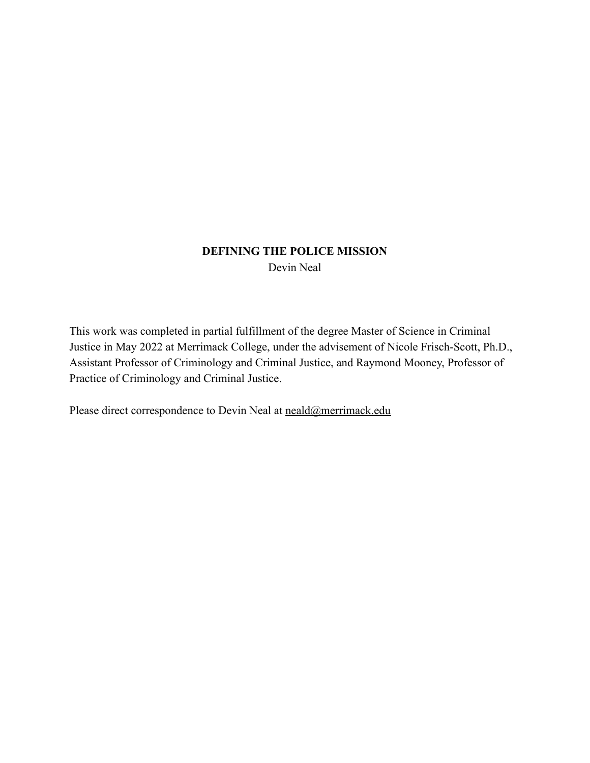# **DEFINING THE POLICE MISSION** Devin Neal

This work was completed in partial fulfillment of the degree Master of Science in Criminal Justice in May 2022 at Merrimack College, under the advisement of Nicole Frisch-Scott, Ph.D., Assistant Professor of Criminology and Criminal Justice, and Raymond Mooney, Professor of Practice of Criminology and Criminal Justice.

Please direct correspondence to Devin Neal at [neald@merrimack.edu](mailto:neald@merrimack.edu)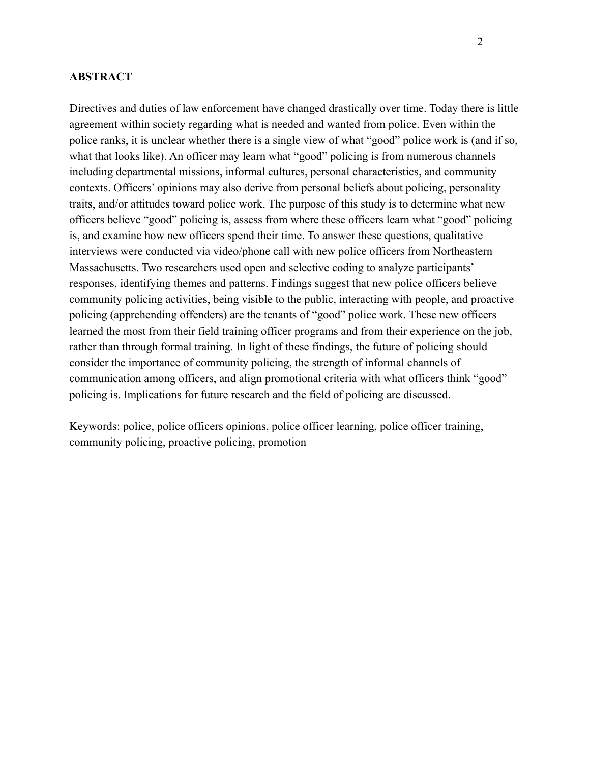#### **ABSTRACT**

Directives and duties of law enforcement have changed drastically over time. Today there is little agreement within society regarding what is needed and wanted from police. Even within the police ranks, it is unclear whether there is a single view of what "good" police work is (and if so, what that looks like). An officer may learn what "good" policing is from numerous channels including departmental missions, informal cultures, personal characteristics, and community contexts. Officers' opinions may also derive from personal beliefs about policing, personality traits, and/or attitudes toward police work. The purpose of this study is to determine what new officers believe "good" policing is, assess from where these officers learn what "good" policing is, and examine how new officers spend their time. To answer these questions, qualitative interviews were conducted via video/phone call with new police officers from Northeastern Massachusetts. Two researchers used open and selective coding to analyze participants' responses, identifying themes and patterns. Findings suggest that new police officers believe community policing activities, being visible to the public, interacting with people, and proactive policing (apprehending offenders) are the tenants of "good" police work. These new officers learned the most from their field training officer programs and from their experience on the job, rather than through formal training. In light of these findings, the future of policing should consider the importance of community policing, the strength of informal channels of communication among officers, and align promotional criteria with what officers think "good" policing is. Implications for future research and the field of policing are discussed.

Keywords: police, police officers opinions, police officer learning, police officer training, community policing, proactive policing, promotion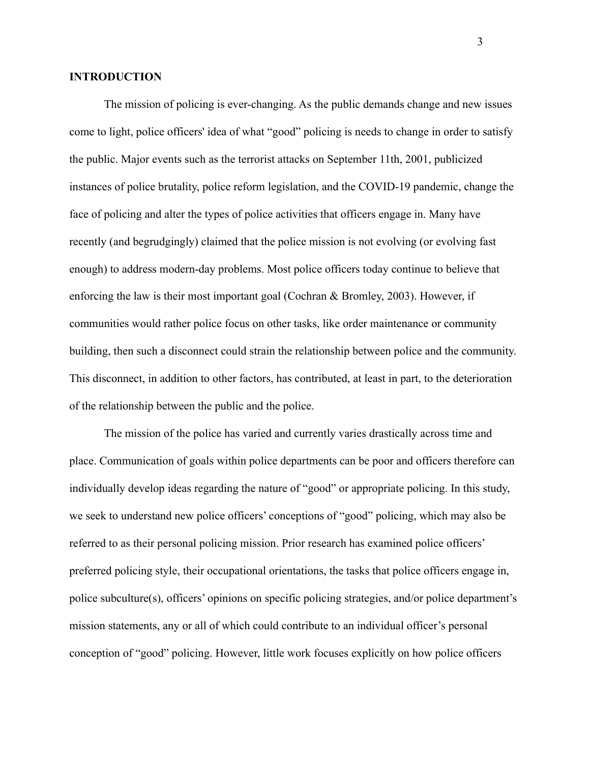#### **INTRODUCTION**

The mission of policing is ever-changing. As the public demands change and new issues come to light, police officers' idea of what "good" policing is needs to change in order to satisfy the public. Major events such as the terrorist attacks on September 11th, 2001, publicized instances of police brutality, police reform legislation, and the COVID-19 pandemic, change the face of policing and alter the types of police activities that officers engage in. Many have recently (and begrudgingly) claimed that the police mission is not evolving (or evolving fast enough) to address modern-day problems. Most police officers today continue to believe that enforcing the law is their most important goal (Cochran & Bromley, 2003). However, if communities would rather police focus on other tasks, like order maintenance or community building, then such a disconnect could strain the relationship between police and the community. This disconnect, in addition to other factors, has contributed, at least in part, to the deterioration of the relationship between the public and the police.

The mission of the police has varied and currently varies drastically across time and place. Communication of goals within police departments can be poor and officers therefore can individually develop ideas regarding the nature of "good" or appropriate policing. In this study, we seek to understand new police officers' conceptions of "good" policing, which may also be referred to as their personal policing mission. Prior research has examined police officers' preferred policing style, their occupational orientations, the tasks that police officers engage in, police subculture(s), officers' opinions on specific policing strategies, and/or police department's mission statements, any or all of which could contribute to an individual officer's personal conception of "good" policing. However, little work focuses explicitly on how police officers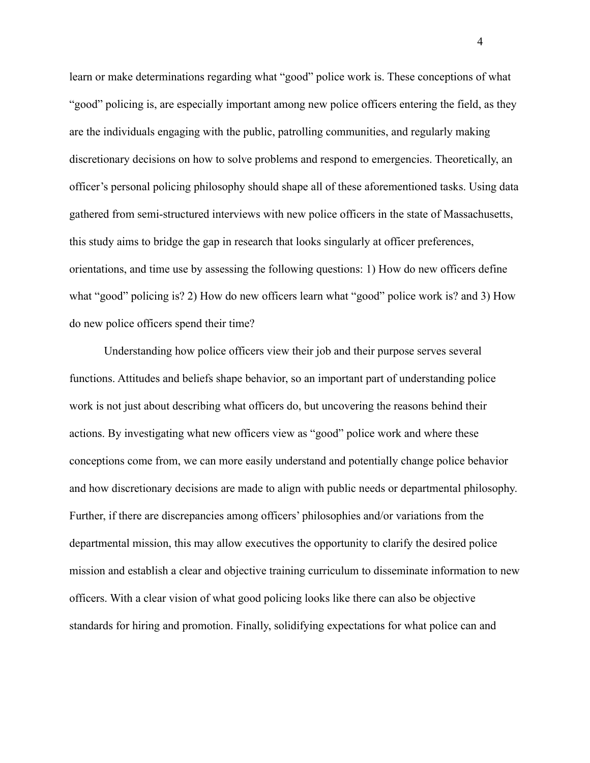learn or make determinations regarding what "good" police work is. These conceptions of what "good" policing is, are especially important among new police officers entering the field, as they are the individuals engaging with the public, patrolling communities, and regularly making discretionary decisions on how to solve problems and respond to emergencies. Theoretically, an officer's personal policing philosophy should shape all of these aforementioned tasks. Using data gathered from semi-structured interviews with new police officers in the state of Massachusetts, this study aims to bridge the gap in research that looks singularly at officer preferences, orientations, and time use by assessing the following questions: 1) How do new officers define what "good" policing is? 2) How do new officers learn what "good" police work is? and 3) How do new police officers spend their time?

Understanding how police officers view their job and their purpose serves several functions. Attitudes and beliefs shape behavior, so an important part of understanding police work is not just about describing what officers do, but uncovering the reasons behind their actions. By investigating what new officers view as "good" police work and where these conceptions come from, we can more easily understand and potentially change police behavior and how discretionary decisions are made to align with public needs or departmental philosophy. Further, if there are discrepancies among officers' philosophies and/or variations from the departmental mission, this may allow executives the opportunity to clarify the desired police mission and establish a clear and objective training curriculum to disseminate information to new officers. With a clear vision of what good policing looks like there can also be objective standards for hiring and promotion. Finally, solidifying expectations for what police can and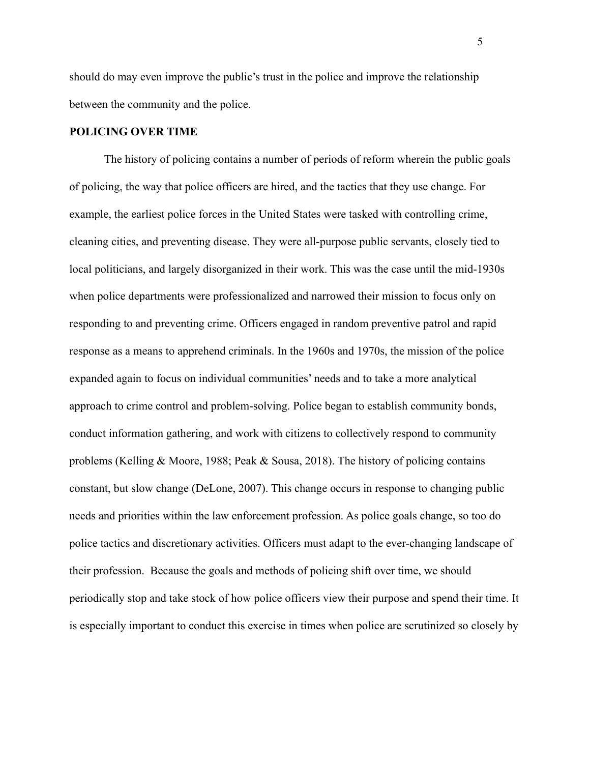should do may even improve the public's trust in the police and improve the relationship between the community and the police.

#### **POLICING OVER TIME**

The history of policing contains a number of periods of reform wherein the public goals of policing, the way that police officers are hired, and the tactics that they use change. For example, the earliest police forces in the United States were tasked with controlling crime, cleaning cities, and preventing disease. They were all-purpose public servants, closely tied to local politicians, and largely disorganized in their work. This was the case until the mid-1930s when police departments were professionalized and narrowed their mission to focus only on responding to and preventing crime. Officers engaged in random preventive patrol and rapid response as a means to apprehend criminals. In the 1960s and 1970s, the mission of the police expanded again to focus on individual communities' needs and to take a more analytical approach to crime control and problem-solving. Police began to establish community bonds, conduct information gathering, and work with citizens to collectively respond to community problems (Kelling & Moore, 1988; Peak & Sousa, 2018). The history of policing contains constant, but slow change (DeLone, 2007). This change occurs in response to changing public needs and priorities within the law enforcement profession. As police goals change, so too do police tactics and discretionary activities. Officers must adapt to the ever-changing landscape of their profession. Because the goals and methods of policing shift over time, we should periodically stop and take stock of how police officers view their purpose and spend their time. It is especially important to conduct this exercise in times when police are scrutinized so closely by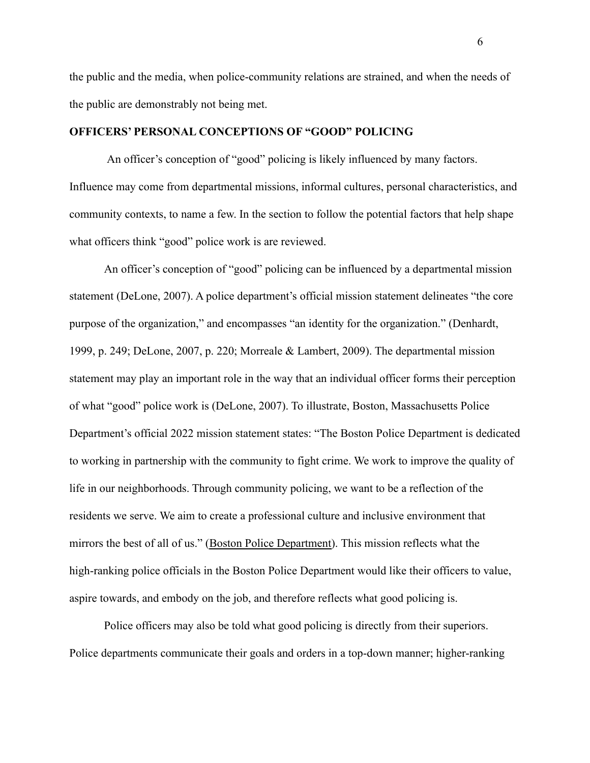the public and the media, when police-community relations are strained, and when the needs of the public are demonstrably not being met.

#### **OFFICERS' PERSONAL CONCEPTIONS OF "GOOD" POLICING**

An officer's conception of "good" policing is likely influenced by many factors. Influence may come from departmental missions, informal cultures, personal characteristics, and community contexts, to name a few. In the section to follow the potential factors that help shape what officers think "good" police work is are reviewed.

An officer's conception of "good" policing can be influenced by a departmental mission statement (DeLone, 2007). A police department's official mission statement delineates "the core purpose of the organization," and encompasses "an identity for the organization." (Denhardt, 1999, p. 249; DeLone, 2007, p. 220; Morreale & Lambert, 2009). The departmental mission statement may play an important role in the way that an individual officer forms their perception of what "good" police work is (DeLone, 2007). To illustrate, Boston, Massachusetts Police Department's official 2022 mission statement states: "The Boston Police Department is dedicated to working in partnership with the community to fight crime. We work to improve the quality of life in our neighborhoods. Through community policing, we want to be a reflection of the residents we serve. We aim to create a professional culture and inclusive environment that mirrors the best of all of us." [\(Boston Police Department\)](https://www.boston.gov/departments/police). This mission reflects what the high-ranking police officials in the Boston Police Department would like their officers to value, aspire towards, and embody on the job, and therefore reflects what good policing is.

Police officers may also be told what good policing is directly from their superiors. Police departments communicate their goals and orders in a top-down manner; higher-ranking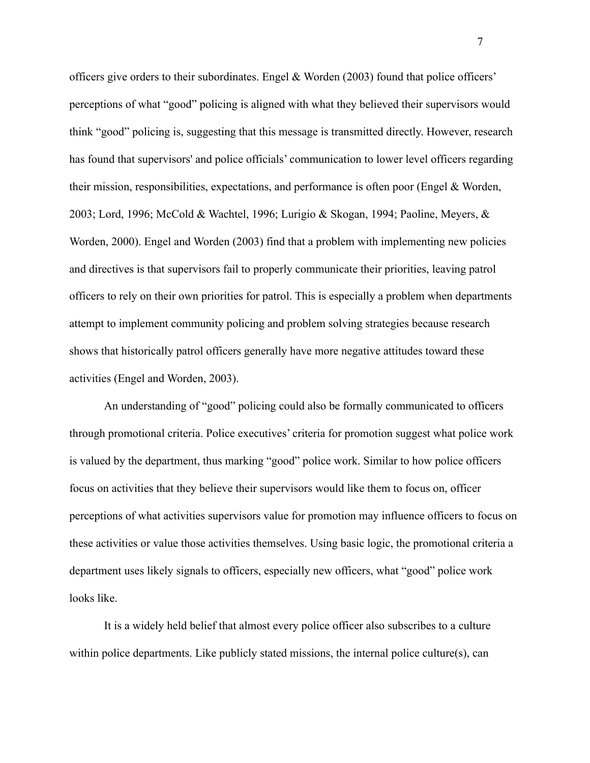officers give orders to their subordinates. Engel  $\&$  Worden (2003) found that police officers' perceptions of what "good" policing is aligned with what they believed their supervisors would think "good" policing is, suggesting that this message is transmitted directly. However, research has found that supervisors' and police officials' communication to lower level officers regarding their mission, responsibilities, expectations, and performance is often poor (Engel & Worden, 2003; Lord, 1996; McCold & Wachtel, 1996; Lurigio & Skogan, 1994; Paoline, Meyers, & Worden, 2000). Engel and Worden (2003) find that a problem with implementing new policies and directives is that supervisors fail to properly communicate their priorities, leaving patrol officers to rely on their own priorities for patrol. This is especially a problem when departments attempt to implement community policing and problem solving strategies because research shows that historically patrol officers generally have more negative attitudes toward these activities (Engel and Worden, 2003).

An understanding of "good" policing could also be formally communicated to officers through promotional criteria. Police executives' criteria for promotion suggest what police work is valued by the department, thus marking "good" police work. Similar to how police officers focus on activities that they believe their supervisors would like them to focus on, officer perceptions of what activities supervisors value for promotion may influence officers to focus on these activities or value those activities themselves. Using basic logic, the promotional criteria a department uses likely signals to officers, especially new officers, what "good" police work looks like.

It is a widely held belief that almost every police officer also subscribes to a culture within police departments. Like publicly stated missions, the internal police culture(s), can

7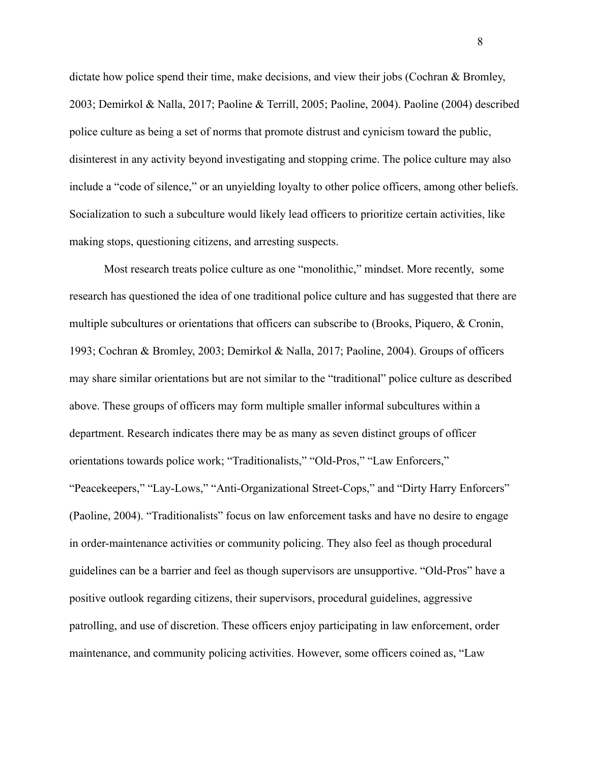dictate how police spend their time, make decisions, and view their jobs (Cochran & Bromley, 2003; Demirkol & Nalla, 2017; Paoline & Terrill, 2005; Paoline, 2004). Paoline (2004) described police culture as being a set of norms that promote distrust and cynicism toward the public, disinterest in any activity beyond investigating and stopping crime. The police culture may also include a "code of silence," or an unyielding loyalty to other police officers, among other beliefs. Socialization to such a subculture would likely lead officers to prioritize certain activities, like making stops, questioning citizens, and arresting suspects.

Most research treats police culture as one "monolithic," mindset. More recently, some research has questioned the idea of one traditional police culture and has suggested that there are multiple subcultures or orientations that officers can subscribe to (Brooks, Piquero, & Cronin, 1993; Cochran & Bromley, 2003; Demirkol & Nalla, 2017; Paoline, 2004). Groups of officers may share similar orientations but are not similar to the "traditional" police culture as described above. These groups of officers may form multiple smaller informal subcultures within a department. Research indicates there may be as many as seven distinct groups of officer orientations towards police work; "Traditionalists," "Old-Pros," "Law Enforcers," "Peacekeepers," "Lay-Lows," "Anti-Organizational Street-Cops," and "Dirty Harry Enforcers" (Paoline, 2004). "Traditionalists" focus on law enforcement tasks and have no desire to engage in order-maintenance activities or community policing. They also feel as though procedural guidelines can be a barrier and feel as though supervisors are unsupportive. "Old-Pros" have a positive outlook regarding citizens, their supervisors, procedural guidelines, aggressive patrolling, and use of discretion. These officers enjoy participating in law enforcement, order maintenance, and community policing activities. However, some officers coined as, "Law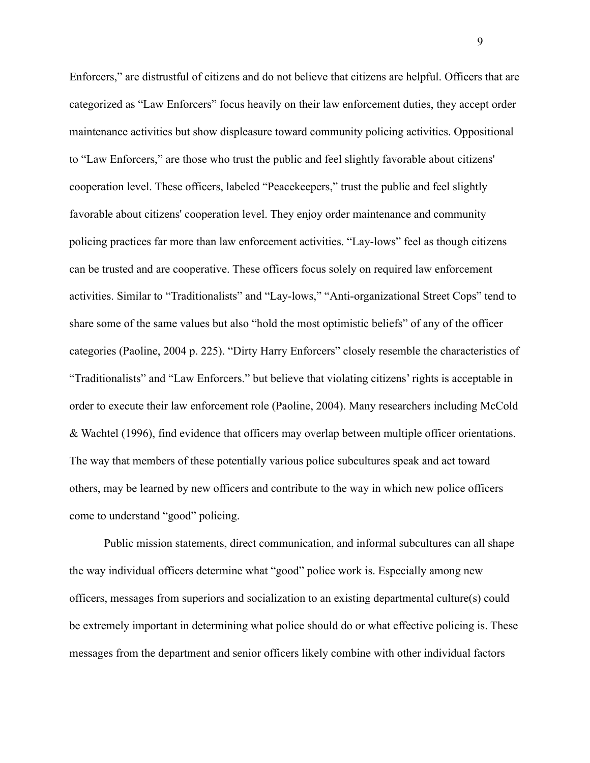Enforcers," are distrustful of citizens and do not believe that citizens are helpful. Officers that are categorized as "Law Enforcers" focus heavily on their law enforcement duties, they accept order maintenance activities but show displeasure toward community policing activities. Oppositional to "Law Enforcers," are those who trust the public and feel slightly favorable about citizens' cooperation level. These officers, labeled "Peacekeepers," trust the public and feel slightly favorable about citizens' cooperation level. They enjoy order maintenance and community policing practices far more than law enforcement activities. "Lay-lows" feel as though citizens can be trusted and are cooperative. These officers focus solely on required law enforcement activities. Similar to "Traditionalists" and "Lay-lows," "Anti-organizational Street Cops" tend to share some of the same values but also "hold the most optimistic beliefs" of any of the officer categories (Paoline, 2004 p. 225). "Dirty Harry Enforcers" closely resemble the characteristics of "Traditionalists" and "Law Enforcers." but believe that violating citizens' rights is acceptable in order to execute their law enforcement role (Paoline, 2004). Many researchers including McCold & Wachtel (1996), find evidence that officers may overlap between multiple officer orientations. The way that members of these potentially various police subcultures speak and act toward others, may be learned by new officers and contribute to the way in which new police officers come to understand "good" policing.

Public mission statements, direct communication, and informal subcultures can all shape the way individual officers determine what "good" police work is. Especially among new officers, messages from superiors and socialization to an existing departmental culture(s) could be extremely important in determining what police should do or what effective policing is. These messages from the department and senior officers likely combine with other individual factors

9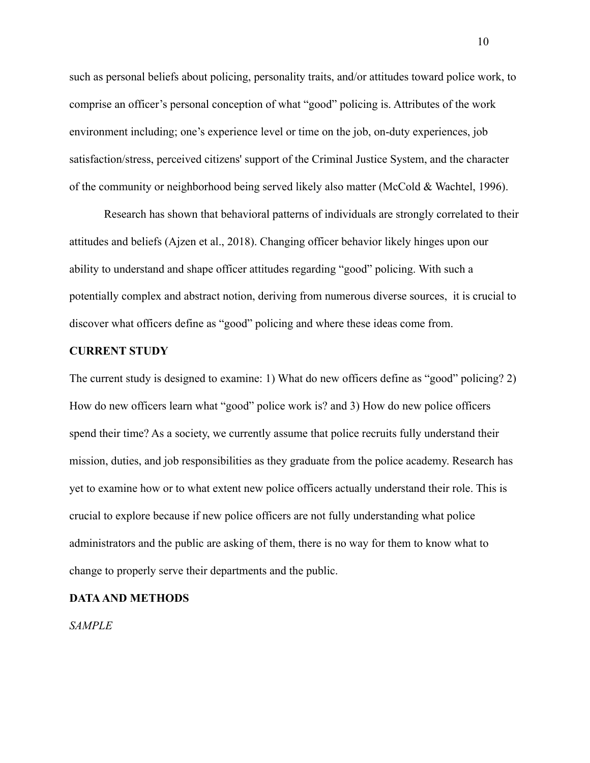such as personal beliefs about policing, personality traits, and/or attitudes toward police work, to comprise an officer's personal conception of what "good" policing is. Attributes of the work environment including; one's experience level or time on the job, on-duty experiences, job satisfaction/stress, perceived citizens' support of the Criminal Justice System, and the character of the community or neighborhood being served likely also matter (McCold & Wachtel, 1996).

Research has shown that behavioral patterns of individuals are strongly correlated to their attitudes and beliefs (Ajzen et al., 2018). Changing officer behavior likely hinges upon our ability to understand and shape officer attitudes regarding "good" policing. With such a potentially complex and abstract notion, deriving from numerous diverse sources, it is crucial to discover what officers define as "good" policing and where these ideas come from.

# **CURRENT STUDY**

The current study is designed to examine: 1) What do new officers define as "good" policing? 2) How do new officers learn what "good" police work is? and 3) How do new police officers spend their time? As a society, we currently assume that police recruits fully understand their mission, duties, and job responsibilities as they graduate from the police academy. Research has yet to examine how or to what extent new police officers actually understand their role. This is crucial to explore because if new police officers are not fully understanding what police administrators and the public are asking of them, there is no way for them to know what to change to properly serve their departments and the public.

#### **DATAAND METHODS**

*SAMPLE*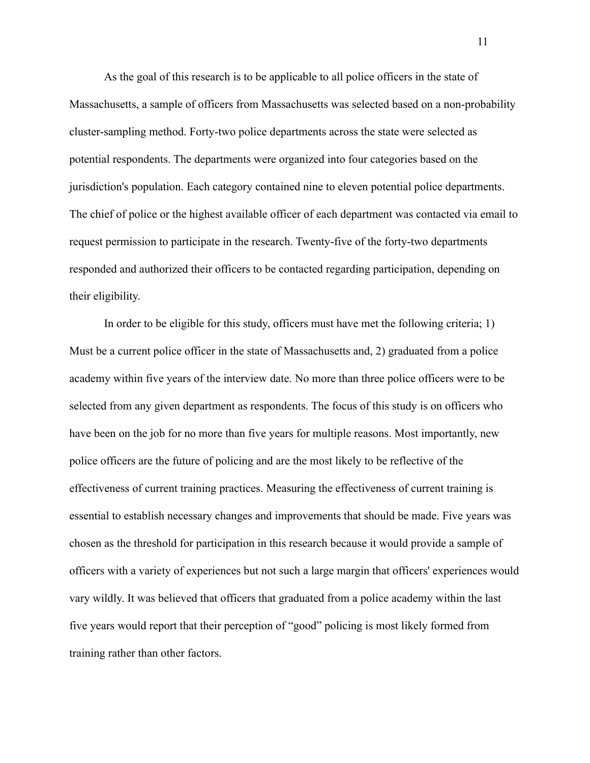As the goal of this research is to be applicable to all police officers in the state of Massachusetts, a sample of officers from Massachusetts was selected based on a non-probability cluster-sampling method. Forty-two police departments across the state were selected as potential respondents. The departments were organized into four categories based on the jurisdiction's population. Each category contained nine to eleven potential police departments. The chief of police or the highest available officer of each department was contacted via email to request permission to participate in the research. Twenty-five of the forty-two departments responded and authorized their officers to be contacted regarding participation, depending on their eligibility.

In order to be eligible for this study, officers must have met the following criteria; 1) Must be a current police officer in the state of Massachusetts and, 2) graduated from a police academy within five years of the interview date. No more than three police officers were to be selected from any given department as respondents. The focus of this study is on officers who have been on the job for no more than five years for multiple reasons. Most importantly, new police officers are the future of policing and are the most likely to be reflective of the effectiveness of current training practices. Measuring the effectiveness of current training is essential to establish necessary changes and improvements that should be made. Five years was chosen as the threshold for participation in this research because it would provide a sample of officers with a variety of experiences but not such a large margin that officers' experiences would vary wildly. It was believed that officers that graduated from a police academy within the last five years would report that their perception of "good" policing is most likely formed from training rather than other factors.

11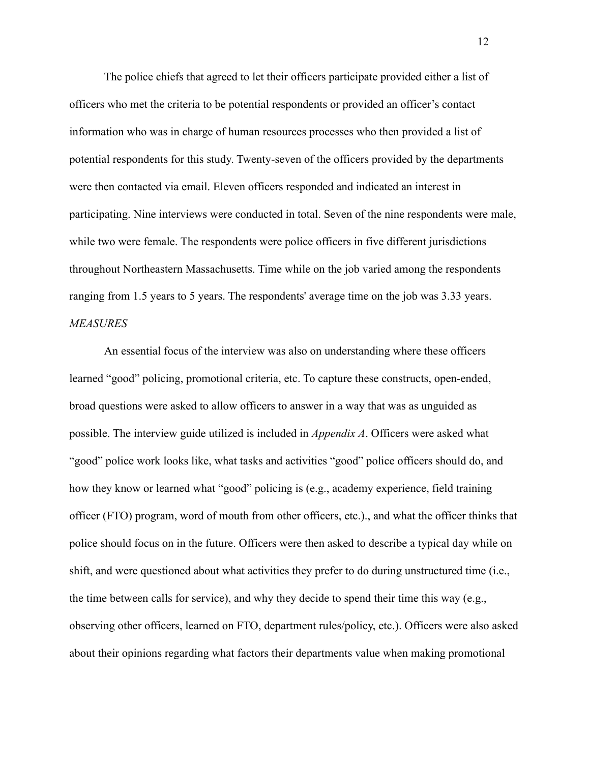The police chiefs that agreed to let their officers participate provided either a list of officers who met the criteria to be potential respondents or provided an officer's contact information who was in charge of human resources processes who then provided a list of potential respondents for this study. Twenty-seven of the officers provided by the departments were then contacted via email. Eleven officers responded and indicated an interest in participating. Nine interviews were conducted in total. Seven of the nine respondents were male, while two were female. The respondents were police officers in five different jurisdictions throughout Northeastern Massachusetts. Time while on the job varied among the respondents ranging from 1.5 years to 5 years. The respondents' average time on the job was 3.33 years. *MEASURES*

An essential focus of the interview was also on understanding where these officers learned "good" policing, promotional criteria, etc. To capture these constructs, open-ended, broad questions were asked to allow officers to answer in a way that was as unguided as possible. The interview guide utilized is included in *Appendix A*. Officers were asked what "good" police work looks like, what tasks and activities "good" police officers should do, and how they know or learned what "good" policing is (e.g., academy experience, field training officer (FTO) program, word of mouth from other officers, etc.)., and what the officer thinks that police should focus on in the future. Officers were then asked to describe a typical day while on shift, and were questioned about what activities they prefer to do during unstructured time (i.e., the time between calls for service), and why they decide to spend their time this way (e.g., observing other officers, learned on FTO, department rules/policy, etc.). Officers were also asked about their opinions regarding what factors their departments value when making promotional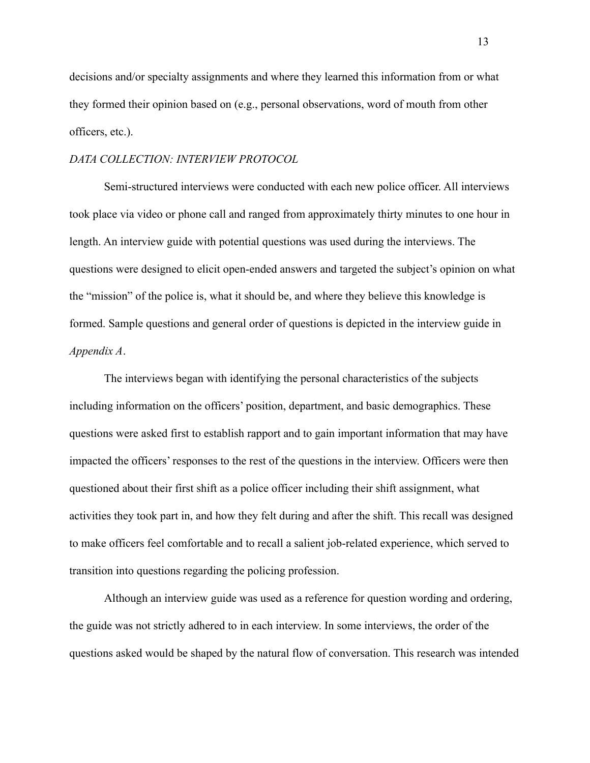decisions and/or specialty assignments and where they learned this information from or what they formed their opinion based on (e.g., personal observations, word of mouth from other officers, etc.).

#### *DATA COLLECTION: INTERVIEW PROTOCOL*

Semi-structured interviews were conducted with each new police officer. All interviews took place via video or phone call and ranged from approximately thirty minutes to one hour in length. An interview guide with potential questions was used during the interviews. The questions were designed to elicit open-ended answers and targeted the subject's opinion on what the "mission" of the police is, what it should be, and where they believe this knowledge is formed. Sample questions and general order of questions is depicted in the interview guide in *Appendix A*.

The interviews began with identifying the personal characteristics of the subjects including information on the officers' position, department, and basic demographics. These questions were asked first to establish rapport and to gain important information that may have impacted the officers' responses to the rest of the questions in the interview. Officers were then questioned about their first shift as a police officer including their shift assignment, what activities they took part in, and how they felt during and after the shift. This recall was designed to make officers feel comfortable and to recall a salient job-related experience, which served to transition into questions regarding the policing profession.

Although an interview guide was used as a reference for question wording and ordering, the guide was not strictly adhered to in each interview. In some interviews, the order of the questions asked would be shaped by the natural flow of conversation. This research was intended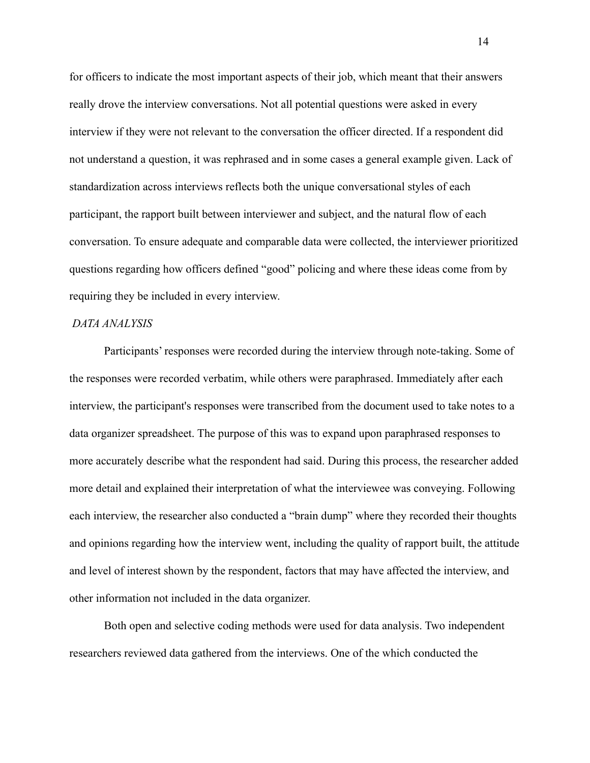for officers to indicate the most important aspects of their job, which meant that their answers really drove the interview conversations. Not all potential questions were asked in every interview if they were not relevant to the conversation the officer directed. If a respondent did not understand a question, it was rephrased and in some cases a general example given. Lack of standardization across interviews reflects both the unique conversational styles of each participant, the rapport built between interviewer and subject, and the natural flow of each conversation. To ensure adequate and comparable data were collected, the interviewer prioritized questions regarding how officers defined "good" policing and where these ideas come from by requiring they be included in every interview.

#### *DATA ANALYSIS*

Participants' responses were recorded during the interview through note-taking. Some of the responses were recorded verbatim, while others were paraphrased. Immediately after each interview, the participant's responses were transcribed from the document used to take notes to a data organizer spreadsheet. The purpose of this was to expand upon paraphrased responses to more accurately describe what the respondent had said. During this process, the researcher added more detail and explained their interpretation of what the interviewee was conveying. Following each interview, the researcher also conducted a "brain dump" where they recorded their thoughts and opinions regarding how the interview went, including the quality of rapport built, the attitude and level of interest shown by the respondent, factors that may have affected the interview, and other information not included in the data organizer.

Both open and selective coding methods were used for data analysis. Two independent researchers reviewed data gathered from the interviews. One of the which conducted the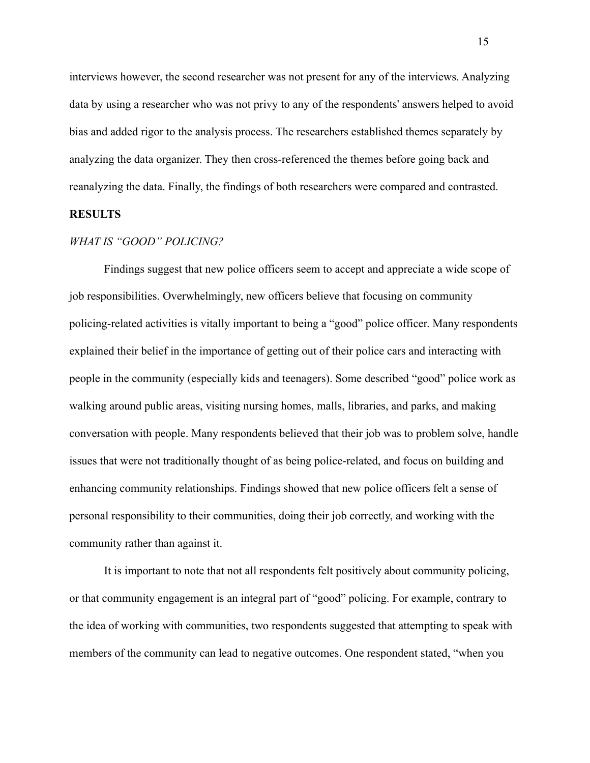interviews however, the second researcher was not present for any of the interviews. Analyzing data by using a researcher who was not privy to any of the respondents' answers helped to avoid bias and added rigor to the analysis process. The researchers established themes separately by analyzing the data organizer. They then cross-referenced the themes before going back and reanalyzing the data. Finally, the findings of both researchers were compared and contrasted.

#### **RESULTS**

#### *WHAT IS "GOOD" POLICING?*

Findings suggest that new police officers seem to accept and appreciate a wide scope of job responsibilities. Overwhelmingly, new officers believe that focusing on community policing-related activities is vitally important to being a "good" police officer. Many respondents explained their belief in the importance of getting out of their police cars and interacting with people in the community (especially kids and teenagers). Some described "good" police work as walking around public areas, visiting nursing homes, malls, libraries, and parks, and making conversation with people. Many respondents believed that their job was to problem solve, handle issues that were not traditionally thought of as being police-related, and focus on building and enhancing community relationships. Findings showed that new police officers felt a sense of personal responsibility to their communities, doing their job correctly, and working with the community rather than against it.

It is important to note that not all respondents felt positively about community policing, or that community engagement is an integral part of "good" policing. For example, contrary to the idea of working with communities, two respondents suggested that attempting to speak with members of the community can lead to negative outcomes. One respondent stated, "when you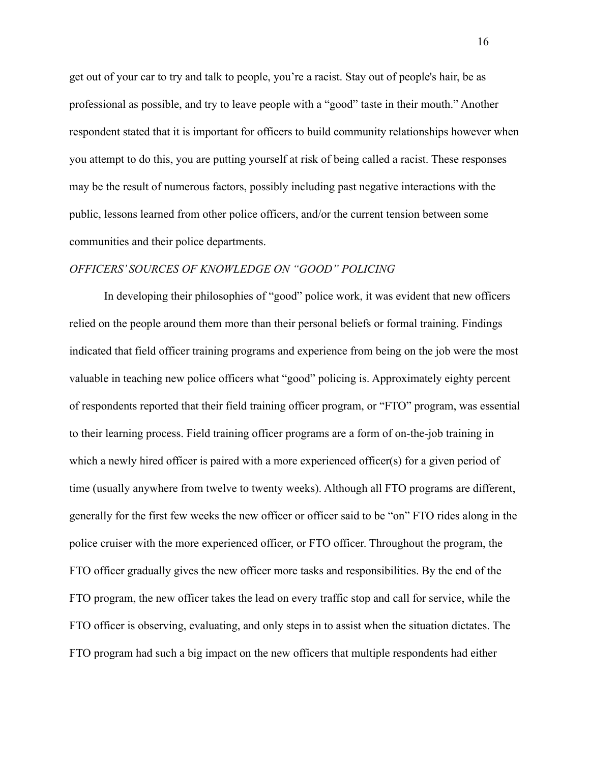get out of your car to try and talk to people, you're a racist. Stay out of people's hair, be as professional as possible, and try to leave people with a "good" taste in their mouth." Another respondent stated that it is important for officers to build community relationships however when you attempt to do this, you are putting yourself at risk of being called a racist. These responses may be the result of numerous factors, possibly including past negative interactions with the public, lessons learned from other police officers, and/or the current tension between some communities and their police departments.

### *OFFICERS' SOURCES OF KNOWLEDGE ON "GOOD" POLICING*

In developing their philosophies of "good" police work, it was evident that new officers relied on the people around them more than their personal beliefs or formal training. Findings indicated that field officer training programs and experience from being on the job were the most valuable in teaching new police officers what "good" policing is. Approximately eighty percent of respondents reported that their field training officer program, or "FTO" program, was essential to their learning process. Field training officer programs are a form of on-the-job training in which a newly hired officer is paired with a more experienced officer(s) for a given period of time (usually anywhere from twelve to twenty weeks). Although all FTO programs are different, generally for the first few weeks the new officer or officer said to be "on" FTO rides along in the police cruiser with the more experienced officer, or FTO officer. Throughout the program, the FTO officer gradually gives the new officer more tasks and responsibilities. By the end of the FTO program, the new officer takes the lead on every traffic stop and call for service, while the FTO officer is observing, evaluating, and only steps in to assist when the situation dictates. The FTO program had such a big impact on the new officers that multiple respondents had either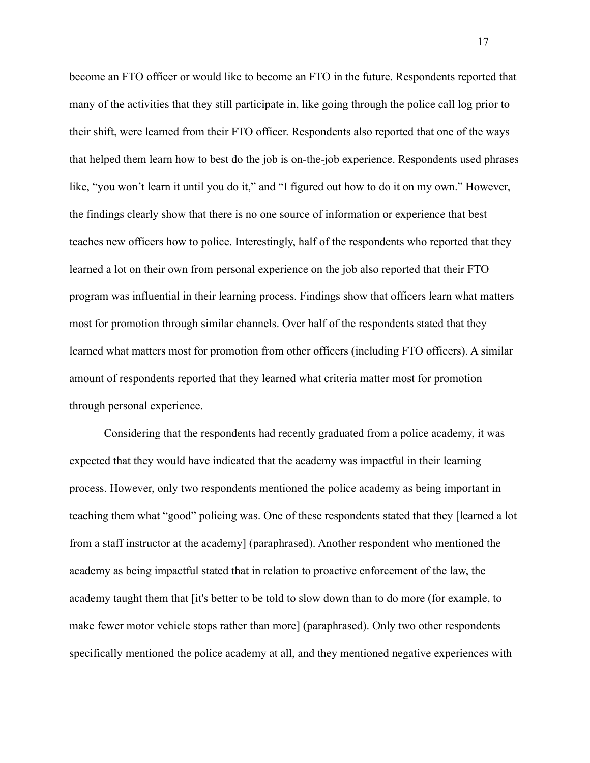become an FTO officer or would like to become an FTO in the future. Respondents reported that many of the activities that they still participate in, like going through the police call log prior to their shift, were learned from their FTO officer. Respondents also reported that one of the ways that helped them learn how to best do the job is on-the-job experience. Respondents used phrases like, "you won't learn it until you do it," and "I figured out how to do it on my own." However, the findings clearly show that there is no one source of information or experience that best teaches new officers how to police. Interestingly, half of the respondents who reported that they learned a lot on their own from personal experience on the job also reported that their FTO program was influential in their learning process. Findings show that officers learn what matters most for promotion through similar channels. Over half of the respondents stated that they learned what matters most for promotion from other officers (including FTO officers). A similar amount of respondents reported that they learned what criteria matter most for promotion through personal experience.

Considering that the respondents had recently graduated from a police academy, it was expected that they would have indicated that the academy was impactful in their learning process. However, only two respondents mentioned the police academy as being important in teaching them what "good" policing was. One of these respondents stated that they [learned a lot from a staff instructor at the academy] (paraphrased). Another respondent who mentioned the academy as being impactful stated that in relation to proactive enforcement of the law, the academy taught them that [it's better to be told to slow down than to do more (for example, to make fewer motor vehicle stops rather than more] (paraphrased). Only two other respondents specifically mentioned the police academy at all, and they mentioned negative experiences with

17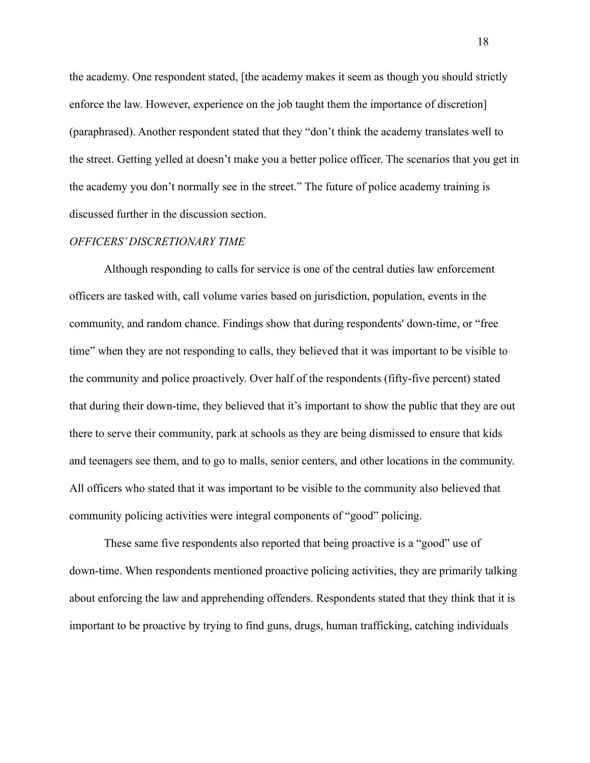the academy. One respondent stated, [the academy makes it seem as though you should strictly enforce the law. However, experience on the job taught them the importance of discretion] (paraphrased). Another respondent stated that they "don't think the academy translates well to the street. Getting yelled at doesn't make you a better police officer. The scenarios that you get in the academy you don't normally see in the street." The future of police academy training is discussed further in the discussion section.

#### *OFFICERS' DISCRETIONARY TIME*

Although responding to calls for service is one of the central duties law enforcement officers are tasked with, call volume varies based on jurisdiction, population, events in the community, and random chance. Findings show that during respondents' down-time, or "free time" when they are not responding to calls, they believed that it was important to be visible to the community and police proactively. Over half of the respondents (fifty-five percent) stated that during their down-time, they believed that it's important to show the public that they are out there to serve their community, park at schools as they are being dismissed to ensure that kids and teenagers see them, and to go to malls, senior centers, and other locations in the community. All officers who stated that it was important to be visible to the community also believed that community policing activities were integral components of "good" policing.

These same five respondents also reported that being proactive is a "good" use of down-time. When respondents mentioned proactive policing activities, they are primarily talking about enforcing the law and apprehending offenders. Respondents stated that they think that it is important to be proactive by trying to find guns, drugs, human trafficking, catching individuals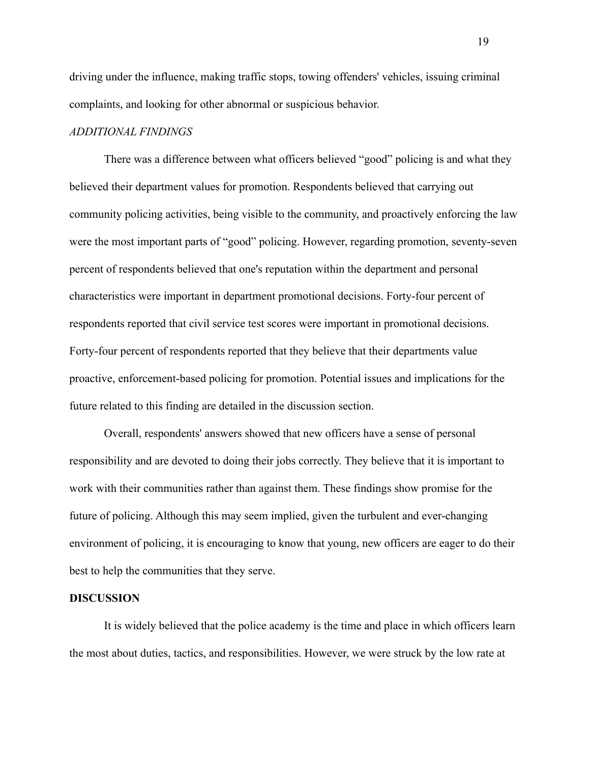driving under the influence, making traffic stops, towing offenders' vehicles, issuing criminal complaints, and looking for other abnormal or suspicious behavior.

#### *ADDITIONAL FINDINGS*

There was a difference between what officers believed "good" policing is and what they believed their department values for promotion. Respondents believed that carrying out community policing activities, being visible to the community, and proactively enforcing the law were the most important parts of "good" policing. However, regarding promotion, seventy-seven percent of respondents believed that one's reputation within the department and personal characteristics were important in department promotional decisions. Forty-four percent of respondents reported that civil service test scores were important in promotional decisions. Forty-four percent of respondents reported that they believe that their departments value proactive, enforcement-based policing for promotion. Potential issues and implications for the future related to this finding are detailed in the discussion section.

Overall, respondents' answers showed that new officers have a sense of personal responsibility and are devoted to doing their jobs correctly. They believe that it is important to work with their communities rather than against them. These findings show promise for the future of policing. Although this may seem implied, given the turbulent and ever-changing environment of policing, it is encouraging to know that young, new officers are eager to do their best to help the communities that they serve.

#### **DISCUSSION**

It is widely believed that the police academy is the time and place in which officers learn the most about duties, tactics, and responsibilities. However, we were struck by the low rate at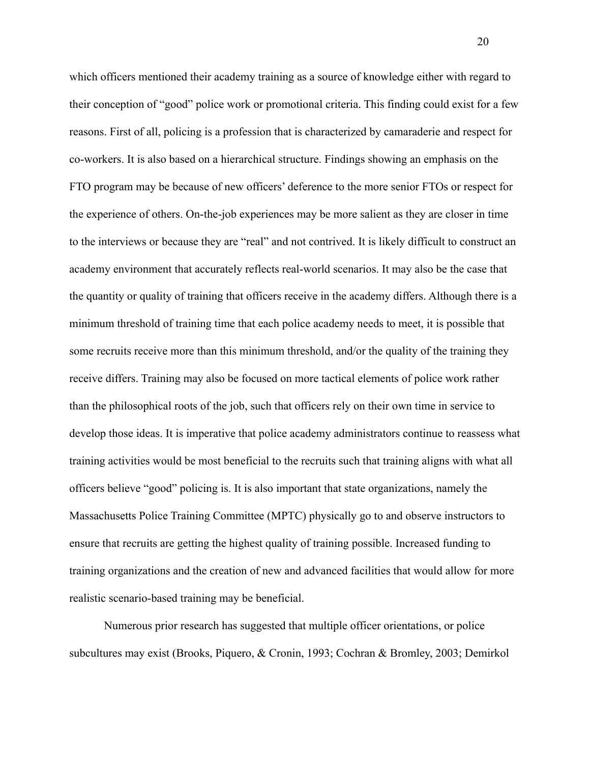which officers mentioned their academy training as a source of knowledge either with regard to their conception of "good" police work or promotional criteria. This finding could exist for a few reasons. First of all, policing is a profession that is characterized by camaraderie and respect for co-workers. It is also based on a hierarchical structure. Findings showing an emphasis on the FTO program may be because of new officers' deference to the more senior FTOs or respect for the experience of others. On-the-job experiences may be more salient as they are closer in time to the interviews or because they are "real" and not contrived. It is likely difficult to construct an academy environment that accurately reflects real-world scenarios. It may also be the case that the quantity or quality of training that officers receive in the academy differs. Although there is a minimum threshold of training time that each police academy needs to meet, it is possible that some recruits receive more than this minimum threshold, and/or the quality of the training they receive differs. Training may also be focused on more tactical elements of police work rather than the philosophical roots of the job, such that officers rely on their own time in service to develop those ideas. It is imperative that police academy administrators continue to reassess what training activities would be most beneficial to the recruits such that training aligns with what all officers believe "good" policing is. It is also important that state organizations, namely the Massachusetts Police Training Committee (MPTC) physically go to and observe instructors to ensure that recruits are getting the highest quality of training possible. Increased funding to training organizations and the creation of new and advanced facilities that would allow for more realistic scenario-based training may be beneficial.

Numerous prior research has suggested that multiple officer orientations, or police subcultures may exist (Brooks, Piquero, & Cronin, 1993; Cochran & Bromley, 2003; Demirkol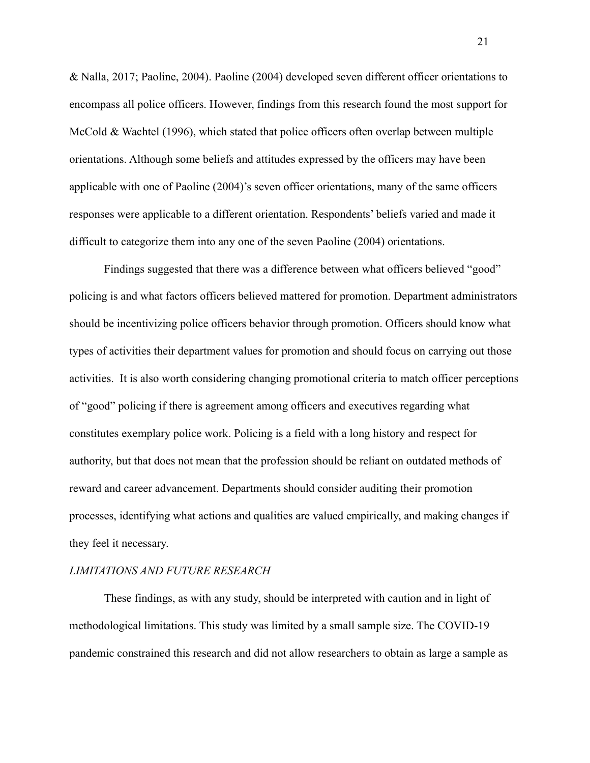& Nalla, 2017; Paoline, 2004). Paoline (2004) developed seven different officer orientations to encompass all police officers. However, findings from this research found the most support for McCold & Wachtel (1996), which stated that police officers often overlap between multiple orientations. Although some beliefs and attitudes expressed by the officers may have been applicable with one of Paoline (2004)'s seven officer orientations, many of the same officers responses were applicable to a different orientation. Respondents' beliefs varied and made it difficult to categorize them into any one of the seven Paoline (2004) orientations.

Findings suggested that there was a difference between what officers believed "good" policing is and what factors officers believed mattered for promotion. Department administrators should be incentivizing police officers behavior through promotion. Officers should know what types of activities their department values for promotion and should focus on carrying out those activities. It is also worth considering changing promotional criteria to match officer perceptions of "good" policing if there is agreement among officers and executives regarding what constitutes exemplary police work. Policing is a field with a long history and respect for authority, but that does not mean that the profession should be reliant on outdated methods of reward and career advancement. Departments should consider auditing their promotion processes, identifying what actions and qualities are valued empirically, and making changes if they feel it necessary.

#### *LIMITATIONS AND FUTURE RESEARCH*

These findings, as with any study, should be interpreted with caution and in light of methodological limitations. This study was limited by a small sample size. The COVID-19 pandemic constrained this research and did not allow researchers to obtain as large a sample as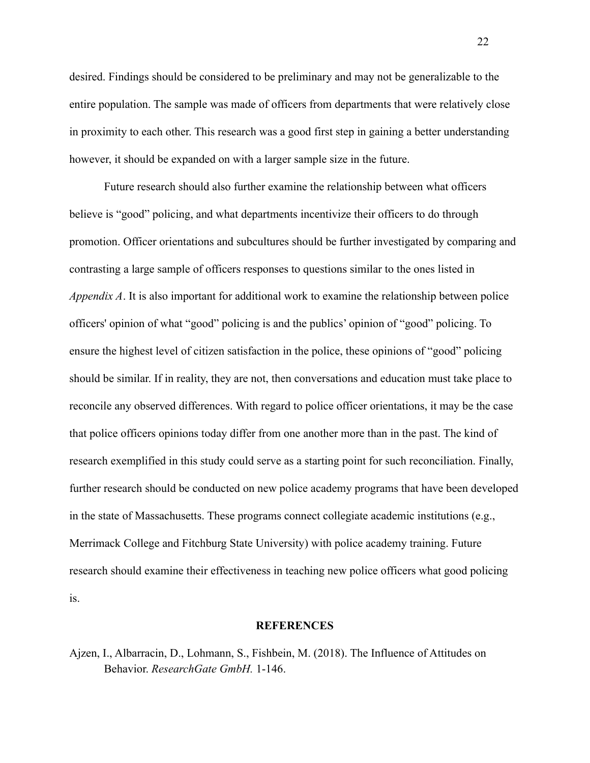desired. Findings should be considered to be preliminary and may not be generalizable to the entire population. The sample was made of officers from departments that were relatively close in proximity to each other. This research was a good first step in gaining a better understanding however, it should be expanded on with a larger sample size in the future.

Future research should also further examine the relationship between what officers believe is "good" policing, and what departments incentivize their officers to do through promotion. Officer orientations and subcultures should be further investigated by comparing and contrasting a large sample of officers responses to questions similar to the ones listed in *Appendix A*. It is also important for additional work to examine the relationship between police officers' opinion of what "good" policing is and the publics' opinion of "good" policing. To ensure the highest level of citizen satisfaction in the police, these opinions of "good" policing should be similar. If in reality, they are not, then conversations and education must take place to reconcile any observed differences. With regard to police officer orientations, it may be the case that police officers opinions today differ from one another more than in the past. The kind of research exemplified in this study could serve as a starting point for such reconciliation. Finally, further research should be conducted on new police academy programs that have been developed in the state of Massachusetts. These programs connect collegiate academic institutions (e.g., Merrimack College and Fitchburg State University) with police academy training. Future research should examine their effectiveness in teaching new police officers what good policing is.

#### **REFERENCES**

Ajzen, I., Albarracin, D., Lohmann, S., Fishbein, M. (2018). The Influence of Attitudes on Behavior. *ResearchGate GmbH.* 1-146.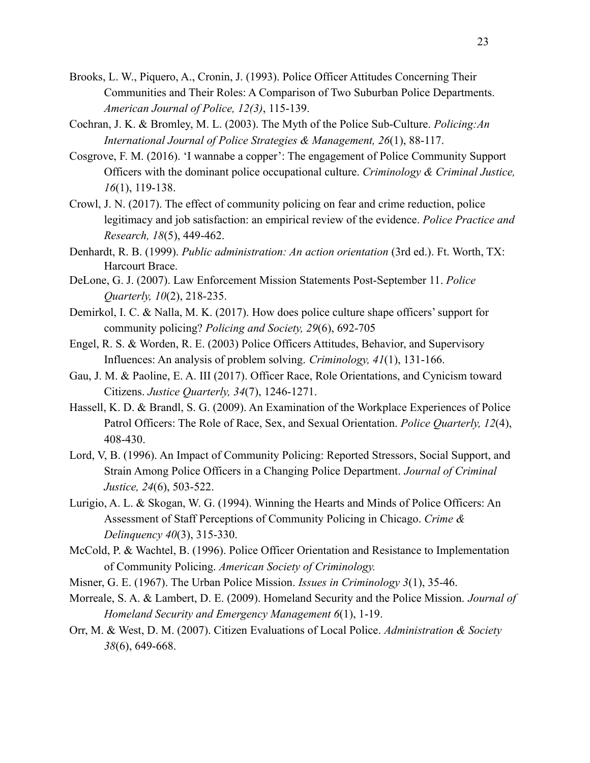- Brooks, L. W., Piquero, A., Cronin, J. (1993). Police Officer Attitudes Concerning Their Communities and Their Roles: A Comparison of Two Suburban Police Departments. *American Journal of Police, 12(3)*, 115-139.
- Cochran, J. K. & Bromley, M. L. (2003). The Myth of the Police Sub-Culture. *Policing:An International Journal of Police Strategies & Management, 26*(1), 88-117.
- Cosgrove, F. M. (2016). 'I wannabe a copper': The engagement of Police Community Support Officers with the dominant police occupational culture. *Criminology & Criminal Justice, 16*(1), 119-138.
- Crowl, J. N. (2017). The effect of community policing on fear and crime reduction, police legitimacy and job satisfaction: an empirical review of the evidence. *Police Practice and Research, 18*(5), 449-462.
- Denhardt, R. B. (1999). *Public administration: An action orientation* (3rd ed.). Ft. Worth, TX: Harcourt Brace.
- DeLone, G. J. (2007). Law Enforcement Mission Statements Post-September 11. *Police Quarterly, 10*(2), 218-235.
- Demirkol, I. C. & Nalla, M. K. (2017). How does police culture shape officers' support for community policing? *Policing and Society, 29*(6), 692-705
- Engel, R. S. & Worden, R. E. (2003) Police Officers Attitudes, Behavior, and Supervisory Influences: An analysis of problem solving. *Criminology, 41*(1), 131-166.
- Gau, J. M. & Paoline, E. A. III (2017). Officer Race, Role Orientations, and Cynicism toward Citizens. *Justice Quarterly, 34*(7), 1246-1271.
- Hassell, K. D. & Brandl, S. G. (2009). An Examination of the Workplace Experiences of Police Patrol Officers: The Role of Race, Sex, and Sexual Orientation. *Police Quarterly, 12*(4), 408-430.
- Lord, V, B. (1996). An Impact of Community Policing: Reported Stressors, Social Support, and Strain Among Police Officers in a Changing Police Department. *Journal of Criminal Justice, 24*(6), 503-522.
- Lurigio, A. L. & Skogan, W. G. (1994). Winning the Hearts and Minds of Police Officers: An Assessment of Staff Perceptions of Community Policing in Chicago. *Crime & Delinquency 40*(3), 315-330.
- McCold, P. & Wachtel, B. (1996). Police Officer Orientation and Resistance to Implementation of Community Policing. *American Society of Criminology.*
- Misner, G. E. (1967). The Urban Police Mission. *Issues in Criminology 3*(1), 35-46.
- Morreale, S. A. & Lambert, D. E. (2009). Homeland Security and the Police Mission. *Journal of Homeland Security and Emergency Management 6*(1), 1-19.
- Orr, M. & West, D. M. (2007). Citizen Evaluations of Local Police. *Administration & Society 38*(6), 649-668.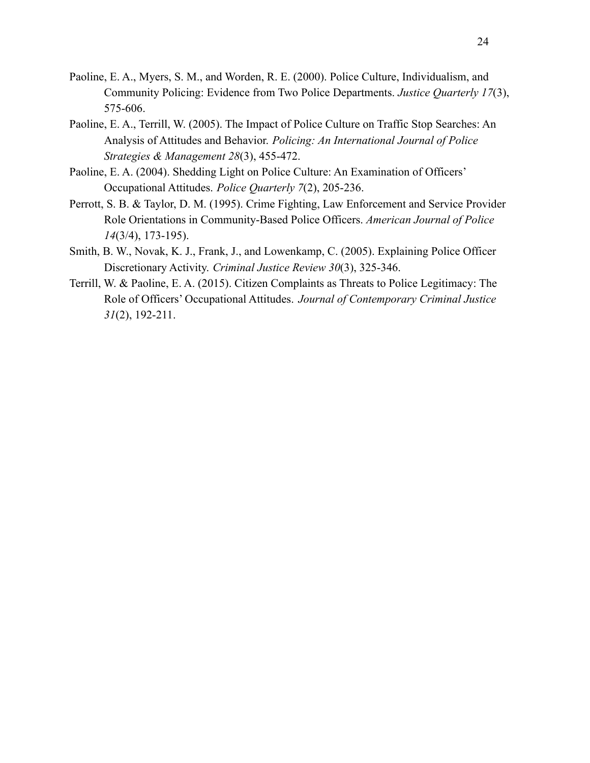- Paoline, E. A., Myers, S. M., and Worden, R. E. (2000). Police Culture, Individualism, and Community Policing: Evidence from Two Police Departments. *Justice Quarterly 17*(3), 575-606.
- Paoline, E. A., Terrill, W. (2005). The Impact of Police Culture on Traffic Stop Searches: An Analysis of Attitudes and Behavior. *Policing: An International Journal of Police Strategies & Management 28*(3), 455-472.
- Paoline, E. A. (2004). Shedding Light on Police Culture: An Examination of Officers' Occupational Attitudes. *Police Quarterly 7*(2), 205-236.
- Perrott, S. B. & Taylor, D. M. (1995). Crime Fighting, Law Enforcement and Service Provider Role Orientations in Community-Based Police Officers. *American Journal of Police 14*(3/4), 173-195).
- Smith, B. W., Novak, K. J., Frank, J., and Lowenkamp, C. (2005). Explaining Police Officer Discretionary Activity. *Criminal Justice Review 30*(3), 325-346.
- Terrill, W. & Paoline, E. A. (2015). Citizen Complaints as Threats to Police Legitimacy: The Role of Officers' Occupational Attitudes. *Journal of Contemporary Criminal Justice 31*(2), 192-211.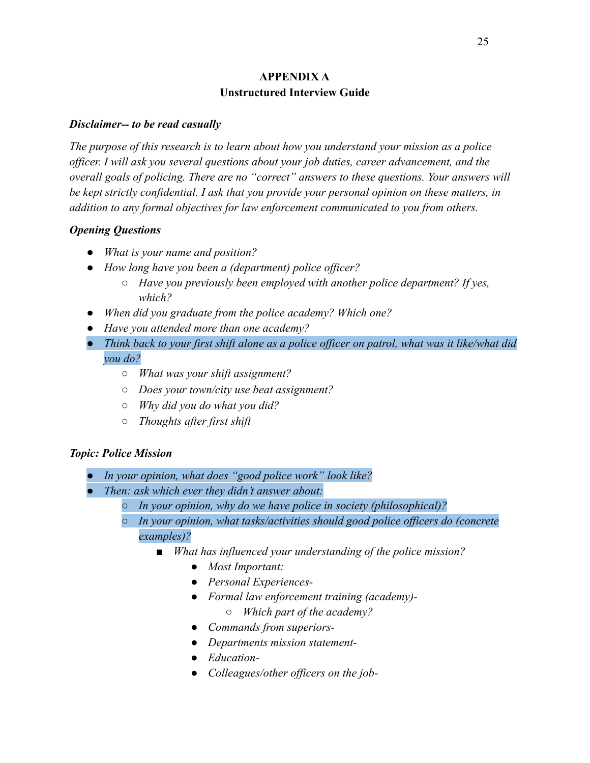# **APPENDIX A Unstructured Interview Guide**

#### *Disclaimer-- to be read casually*

*The purpose of this research is to learn about how you understand your mission as a police officer. I will ask you several questions about your job duties, career advancement, and the overall goals of policing. There are no "correct" answers to these questions. Your answers will be kept strictly confidential. I ask that you provide your personal opinion on these matters, in addition to any formal objectives for law enforcement communicated to you from others.*

### *Opening Questions*

- *● What is your name and position?*
- *● How long have you been a (department) police officer?*
	- *○ Have you previously been employed with another police department? If yes, which?*
- *● When did you graduate from the police academy? Which one?*
- *● Have you attended more than one academy?*
- *● Think back to your first shift alone as a police officer on patrol, what was it like/what did you do?*
	- *○ What was your shift assignment?*
	- *○ Does your town/city use beat assignment?*
	- *○ Why did you do what you did?*
	- *○ Thoughts after first shift*

# *Topic: Police Mission*

- *● In your opinion, what does "good police work" look like?*
- *● Then: ask which ever they didn't answer about:*
	- *○ In your opinion, why do we have police in society (philosophical)?*
	- *○ In your opinion, what tasks/activities should good police officers do (concrete examples)?*
		- *■ What has influenced your understanding of the police mission?*
			- *● Most Important:*
			- *● Personal Experiences-*
			- *● Formal law enforcement training (academy)-*
				- *○ Which part of the academy?*
			- *● Commands from superiors-*
			- *● Departments mission statement-*
			- *● Education-*
			- *● Colleagues/other officers on the job-*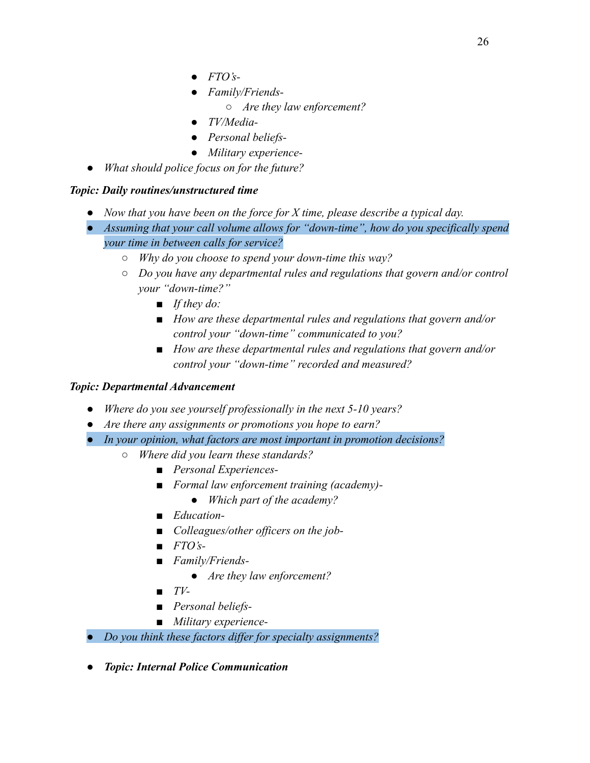- *● FTO's-*
- *● Family/Friends-*
	- *○ Are they law enforcement?*
- *● TV/Media-*
- *● Personal beliefs-*
- *● Military experience-*
- *● What should police focus on for the future?*

# *Topic: Daily routines/unstructured time*

- *● Now that you have been on the force for X time, please describe a typical day.*
- *● Assuming that your call volume allows for "down-time", how do you specifically spend your time in between calls for service?*
	- *○ Why do you choose to spend your down-time this way?*
	- *○ Do you have any departmental rules and regulations that govern and/or control your "down-time?"*
		- *■ If they do:*
		- *■ How are these departmental rules and regulations that govern and/or control your "down-time" communicated to you?*
		- *■ How are these departmental rules and regulations that govern and/or control your "down-time" recorded and measured?*

# *Topic: Departmental Advancement*

- *● Where do you see yourself professionally in the next 5-10 years?*
- *● Are there any assignments or promotions you hope to earn?*
- *● In your opinion, what factors are most important in promotion decisions?*
	- *○ Where did you learn these standards?*
		- *■ Personal Experiences-*
		- *■ Formal law enforcement training (academy)-*
			- *● Which part of the academy?*
		- *■ Education-*
		- *■ Colleagues/other officers on the job-*
		- *■ FTO's-*
		- *■ Family/Friends-*
			- *● Are they law enforcement?*
		- *■ TV-*
		- *■ Personal beliefs-*
		- *■ Military experience-*
- *● Do you think these factors differ for specialty assignments?*
- *● Topic: Internal Police Communication*